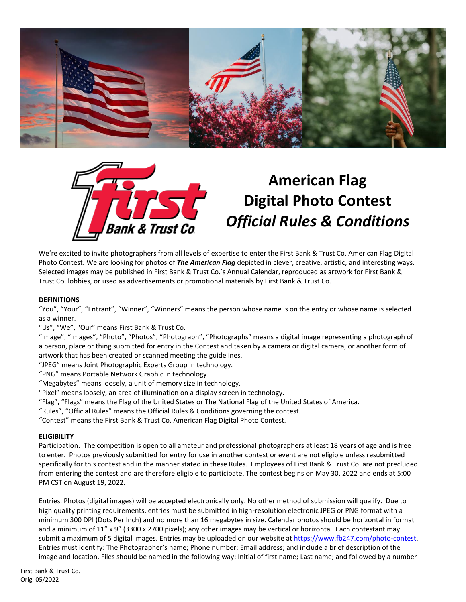



# **American Flag Digital Photo Contest**  *Official Rules & Conditions*

We're excited to invite photographers from all levels of expertise to enter the First Bank & Trust Co. American Flag Digital Photo Contest. We are looking for photos of *The American Flag* depicted in clever, creative, artistic, and interesting ways. Selected images may be published in First Bank & Trust Co.'s Annual Calendar, reproduced as artwork for First Bank & Trust Co. lobbies, or used as advertisements or promotional materials by First Bank & Trust Co.

#### **DEFINITIONS**

"You", "Your", "Entrant", "Winner", "Winners" means the person whose name is on the entry or whose name is selected as a winner.

"Us", "We", "Our" means First Bank & Trust Co.

"Image", "Images", "Photo", "Photos", "Photograph", "Photographs" means a digital image representing a photograph of a person, place or thing submitted for entry in the Contest and taken by a camera or digital camera, or another form of artwork that has been created or scanned meeting the guidelines.

"JPEG" means Joint Photographic Experts Group in technology.

"PNG" means Portable Network Graphic in technology.

"Megabytes" means loosely, a unit of memory size in technology.

"Pixel" means loosely, an area of illumination on a display screen in technology.

"Flag", "Flags" means the Flag of the United States or The National Flag of the United States of America.

"Rules", "Official Rules" means the Official Rules & Conditions governing the contest.

"Contest" means the First Bank & Trust Co. American Flag Digital Photo Contest.

#### **ELIGIBILITY**

Participation**.** The competition is open to all amateur and professional photographers at least 18 years of age and is free to enter. Photos previously submitted for entry for use in another contest or event are not eligible unless resubmitted specifically for this contest and in the manner stated in these Rules. Employees of First Bank & Trust Co. are not precluded from entering the contest and are therefore eligible to participate. The contest begins on May 30, 2022 and ends at 5:00 PM CST on August 19, 2022.

Entries. Photos (digital images) will be accepted electronically only. No other method of submission will qualify. Due to high quality printing requirements, entries must be submitted in high-resolution electronic JPEG or PNG format with a minimum 300 DPI (Dots Per Inch) and no more than 16 megabytes in size. Calendar photos should be horizontal in format and a minimum of 11" x 9" (3300 x 2700 pixels); any other images may be vertical or horizontal. Each contestant may submit a maximum of 5 digital images. Entries may be uploaded on our website at [https://www.fb247.com/photo-contest.](https://www.fb247.com/photo-contest) Entries must identify: The Photographer's name; Phone number; Email address; and include a brief description of the image and location. Files should be named in the following way: Initial of first name; Last name; and followed by a number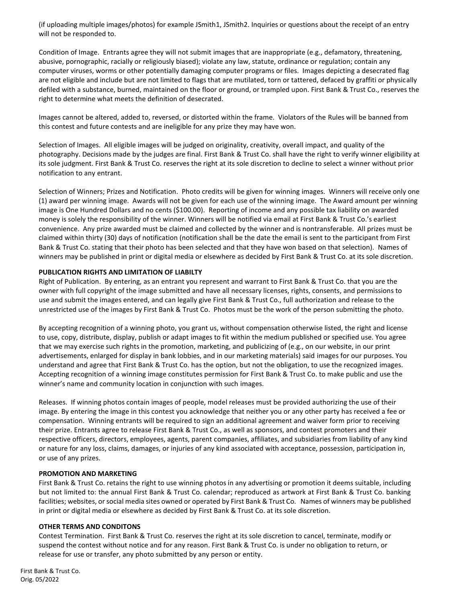(if uploading multiple images/photos) for example JSmith1, JSmith2. Inquiries or questions about the receipt of an entry will not be responded to.

Condition of Image. Entrants agree they will not submit images that are inappropriate (e.g., defamatory, threatening, abusive, pornographic, racially or religiously biased); violate any law, statute, ordinance or regulation; contain any computer viruses, worms or other potentially damaging computer programs or files. Images depicting a desecrated flag are not eligible and include but are not limited to flags that are mutilated, torn or tattered, defaced by graffiti or physically defiled with a substance, burned, maintained on the floor or ground, or trampled upon. First Bank & Trust Co., reserves the right to determine what meets the definition of desecrated.

Images cannot be altered, added to, reversed, or distorted within the frame. Violators of the Rules will be banned from this contest and future contests and are ineligible for any prize they may have won.

Selection of Images. All eligible images will be judged on originality, creativity, overall impact, and quality of the photography. Decisions made by the judges are final. First Bank & Trust Co. shall have the right to verify winner eligibility at its sole judgment. First Bank & Trust Co. reserves the right at its sole discretion to decline to select a winner without prior notification to any entrant.

Selection of Winners; Prizes and Notification. Photo credits will be given for winning images. Winners will receive only one (1) award per winning image. Awards will not be given for each use of the winning image. The Award amount per winning image is One Hundred Dollars and no cents (\$100.00). Reporting of income and any possible tax liability on awarded money is solely the responsibility of the winner. Winners will be notified via email at First Bank & Trust Co.'s earliest convenience. Any prize awarded must be claimed and collected by the winner and is nontransferable. All prizes must be claimed within thirty (30) days of notification (notification shall be the date the email is sent to the participant from First Bank & Trust Co. stating that their photo has been selected and that they have won based on that selection). Names of winners may be published in print or digital media or elsewhere as decided by First Bank & Trust Co. at its sole discretion.

#### **PUBLICATION RIGHTS AND LIMITATION OF LIABILTY**

Right of Publication. By entering, as an entrant you represent and warrant to First Bank & Trust Co. that you are the owner with full copyright of the image submitted and have all necessary licenses, rights, consents, and permissions to use and submit the images entered, and can legally give First Bank & Trust Co., full authorization and release to the unrestricted use of the images by First Bank & Trust Co. Photos must be the work of the person submitting the photo.

By accepting recognition of a winning photo, you grant us, without compensation otherwise listed, the right and license to use, copy, distribute, display, publish or adapt images to fit within the medium published or specified use. You agree that we may exercise such rights in the promotion, marketing, and publicizing of (e.g., on our website, in our print advertisements, enlarged for display in bank lobbies, and in our marketing materials) said images for our purposes. You understand and agree that First Bank & Trust Co. has the option, but not the obligation, to use the recognized images. Accepting recognition of a winning image constitutes permission for First Bank & Trust Co. to make public and use the winner's name and community location in conjunction with such images.

Releases. If winning photos contain images of people, model releases must be provided authorizing the use of their image. By entering the image in this contest you acknowledge that neither you or any other party has received a fee or compensation. Winning entrants will be required to sign an additional agreement and waiver form prior to receiving their prize. Entrants agree to release First Bank & Trust Co., as well as sponsors, and contest promoters and their respective officers, directors, employees, agents, parent companies, affiliates, and subsidiaries from liability of any kind or nature for any loss, claims, damages, or injuries of any kind associated with acceptance, possession, participation in, or use of any prizes.

#### **PROMOTION AND MARKETING**

First Bank & Trust Co. retains the right to use winning photos in any advertising or promotion it deems suitable, including but not limited to: the annual First Bank & Trust Co. calendar; reproduced as artwork at First Bank & Trust Co. banking facilities; websites, or social media sites owned or operated by First Bank & Trust Co. Names of winners may be published in print or digital media or elsewhere as decided by First Bank & Trust Co. at its sole discretion.

#### **OTHER TERMS AND CONDITONS**

Contest Termination. First Bank & Trust Co. reserves the right at its sole discretion to cancel, terminate, modify or suspend the contest without notice and for any reason. First Bank & Trust Co. is under no obligation to return, or release for use or transfer, any photo submitted by any person or entity.